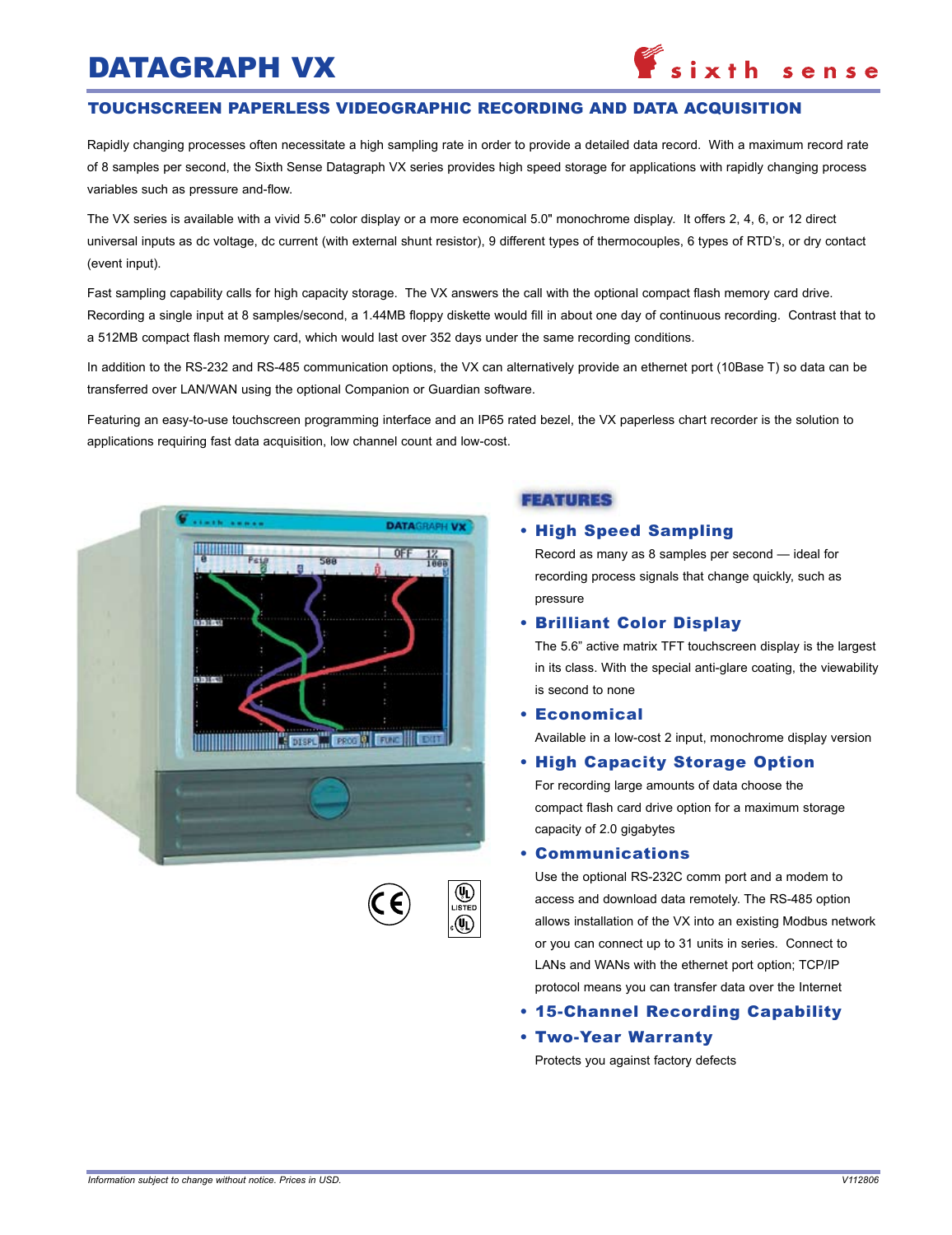# Datagraph VX

#### touchscreen paperless videographic recording and data acquisition

Rapidly changing processes often necessitate a high sampling rate in order to provide a detailed data record. With a maximum record rate of 8 samples per second, the Sixth Sense Datagraph VX series provides high speed storage for applications with rapidly changing process variables such as pressure and-flow.

The VX series is available with a vivid 5.6" color display or a more economical 5.0" monochrome display. It offers 2, 4, 6, or 12 direct universal inputs as dc voltage, dc current (with external shunt resistor), 9 different types of thermocouples, 6 types of RTD's, or dry contact (event input).

Fast sampling capability calls for high capacity storage. The VX answers the call with the optional compact flash memory card drive. Recording a single input at 8 samples/second, a 1.44MB floppy diskette would fill in about one day of continuous recording. Contrast that to a 512MB compact flash memory card, which would last over 352 days under the same recording conditions.

In addition to the RS-232 and RS-485 communication options, the VX can alternatively provide an ethernet port (10Base T) so data can be transferred over LAN/WAN using the optional Companion or Guardian software.

Featuring an easy-to-use touchscreen programming interface and an IP65 rated bezel, the VX paperless chart recorder is the solution to applications requiring fast data acquisition, low channel count and low-cost.



#### **FEATURES**

#### • High Speed Sampling

Record as many as 8 samples per second — ideal for recording process signals that change quickly, such as pressure

#### • Brilliant Color Display

The 5.6" active matrix TFT touchscreen display is the largest in its class. With the special anti-glare coating, the viewability is second to none

• Economical Available in a low-cost 2 input, monochrome display version

### • High Capacity Storage Option

For recording large amounts of data choose the compact flash card drive option for a maximum storage capacity of 2.0 gigabytes

#### • Communications

Use the optional RS-232C comm port and a modem to access and download data remotely. The RS-485 option allows installation of the VX into an existing Modbus network or you can connect up to 31 units in series. Connect to LANs and WANs with the ethernet port option; TCP/IP protocol means you can transfer data over the Internet

- 15-Channel Recording Capability
- Two-Year Warranty

Protects you against factory defects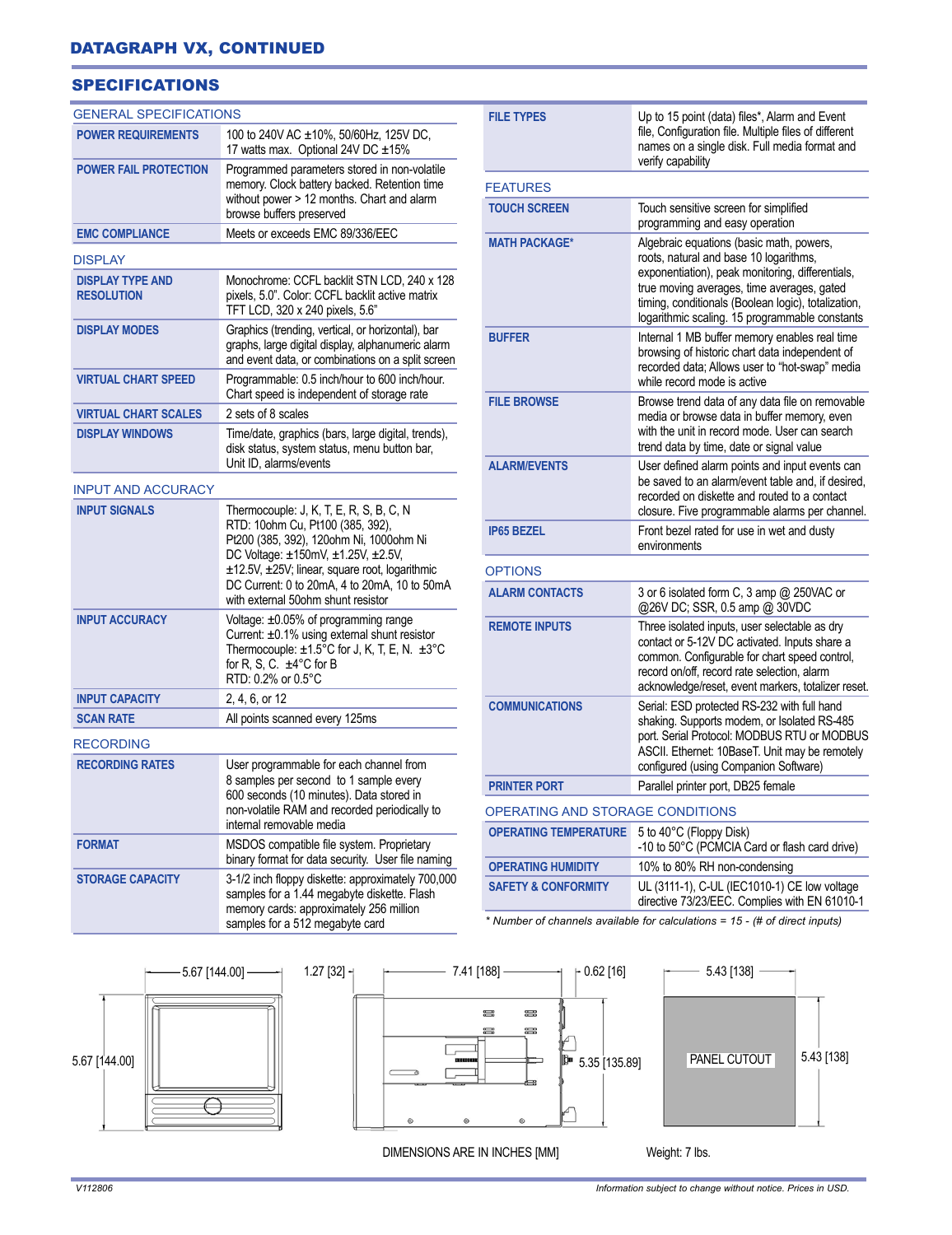# **SPECIFICATIONS**

| <b>GENERAL SPECIFICATIONS</b>                     |                                                                                                                                                                                                                                                           | <b>FILE TYPES</b>                                                           | Up to 15 point (data) files*, Alarm and Event                                                                                                                                                                                                        |  |
|---------------------------------------------------|-----------------------------------------------------------------------------------------------------------------------------------------------------------------------------------------------------------------------------------------------------------|-----------------------------------------------------------------------------|------------------------------------------------------------------------------------------------------------------------------------------------------------------------------------------------------------------------------------------------------|--|
| <b>POWER REQUIREMENTS</b>                         | 100 to 240V AC ±10%, 50/60Hz, 125V DC,<br>17 watts max. Optional 24V DC ±15%                                                                                                                                                                              |                                                                             | file, Configuration file. Multiple files of different<br>names on a single disk. Full media format and                                                                                                                                               |  |
| <b>POWER FAIL PROTECTION</b>                      | Programmed parameters stored in non-volatile<br>memory. Clock battery backed. Retention time<br>without power > 12 months. Chart and alarm<br>browse buffers preserved                                                                                    | verify capability<br><b>FEATURES</b>                                        |                                                                                                                                                                                                                                                      |  |
|                                                   |                                                                                                                                                                                                                                                           | <b>TOUCH SCREEN</b>                                                         | Touch sensitive screen for simplified<br>programming and easy operation                                                                                                                                                                              |  |
| <b>EMC COMPLIANCE</b>                             | Meets or exceeds EMC 89/336/EEC                                                                                                                                                                                                                           | <b>MATH PACKAGE*</b>                                                        | Algebraic equations (basic math, powers,                                                                                                                                                                                                             |  |
| <b>DISPLAY</b>                                    |                                                                                                                                                                                                                                                           |                                                                             | roots, natural and base 10 logarithms,                                                                                                                                                                                                               |  |
| <b>DISPLAY TYPE AND</b><br><b>RESOLUTION</b>      | Monochrome: CCFL backlit STN LCD, 240 x 128<br>pixels, 5.0". Color: CCFL backlit active matrix<br>TFT LCD, 320 x 240 pixels, 5.6"                                                                                                                         |                                                                             | exponentiation), peak monitoring, differentials,<br>true moving averages, time averages, gated<br>timing, conditionals (Boolean logic), totalization,<br>logarithmic scaling. 15 programmable constants                                              |  |
| <b>DISPLAY MODES</b>                              | Graphics (trending, vertical, or horizontal), bar<br>graphs, large digital display, alphanumeric alarm<br>and event data, or combinations on a split screen                                                                                               | <b>BUFFER</b>                                                               | Internal 1 MB buffer memory enables real time<br>browsing of historic chart data independent of<br>recorded data; Allows user to "hot-swap" media<br>while record mode is active                                                                     |  |
| <b>VIRTUAL CHART SPEED</b>                        | Programmable: 0.5 inch/hour to 600 inch/hour.<br>Chart speed is independent of storage rate                                                                                                                                                               |                                                                             |                                                                                                                                                                                                                                                      |  |
| <b>VIRTUAL CHART SCALES</b>                       | 2 sets of 8 scales                                                                                                                                                                                                                                        | <b>FILE BROWSE</b>                                                          | Browse trend data of any data file on removable<br>media or browse data in buffer memory, even<br>with the unit in record mode. User can search<br>trend data by time, date or signal value                                                          |  |
| <b>DISPLAY WINDOWS</b>                            | Time/date, graphics (bars, large digital, trends),<br>disk status, system status, menu button bar,                                                                                                                                                        |                                                                             |                                                                                                                                                                                                                                                      |  |
|                                                   | Unit ID, alarms/events                                                                                                                                                                                                                                    | <b>ALARM/EVENTS</b>                                                         | User defined alarm points and input events can<br>be saved to an alarm/event table and, if desired,                                                                                                                                                  |  |
| <b>INPUT AND ACCURACY</b><br><b>INPUT SIGNALS</b> | Thermocouple: J, K, T, E, R, S, B, C, N                                                                                                                                                                                                                   |                                                                             | recorded on diskette and routed to a contact<br>closure. Five programmable alarms per channel.                                                                                                                                                       |  |
|                                                   | RTD: 10ohm Cu, Pt100 (385, 392),<br>Pt200 (385, 392), 120ohm Ni, 1000ohm Ni<br>DC Voltage: ±150mV, ±1.25V, ±2.5V,<br>±12.5V, ±25V; linear, square root, logarithmic<br>DC Current: 0 to 20mA, 4 to 20mA, 10 to 50mA<br>with external 50ohm shunt resistor | <b>IP65 BEZEL</b>                                                           | Front bezel rated for use in wet and dusty<br>environments                                                                                                                                                                                           |  |
|                                                   |                                                                                                                                                                                                                                                           | <b>OPTIONS</b>                                                              |                                                                                                                                                                                                                                                      |  |
|                                                   |                                                                                                                                                                                                                                                           | <b>ALARM CONTACTS</b>                                                       | 3 or 6 isolated form C, 3 amp @ 250VAC or<br>@26V DC; SSR, 0.5 amp @ 30VDC                                                                                                                                                                           |  |
| <b>INPUT ACCURACY</b>                             | Voltage: ±0.05% of programming range<br>Current: ±0.1% using external shunt resistor<br>Thermocouple: $\pm 1.5^{\circ}$ C for J, K, T, E, N. $\pm 3^{\circ}$ C<br>for R, S, C. $\pm 4^{\circ}$ C for B<br>RTD: 0.2% or 0.5°C                              | <b>REMOTE INPUTS</b>                                                        | Three isolated inputs, user selectable as dry<br>contact or 5-12V DC activated. Inputs share a<br>common. Configurable for chart speed control,<br>record on/off, record rate selection, alarm<br>acknowledge/reset, event markers, totalizer reset. |  |
| <b>INPUT CAPACITY</b>                             | 2, 4, 6, or 12                                                                                                                                                                                                                                            | <b>COMMUNICATIONS</b>                                                       | Serial: ESD protected RS-232 with full hand                                                                                                                                                                                                          |  |
| <b>SCAN RATE</b>                                  | All points scanned every 125ms                                                                                                                                                                                                                            |                                                                             | shaking. Supports modem, or Isolated RS-485                                                                                                                                                                                                          |  |
| <b>RECORDING</b>                                  |                                                                                                                                                                                                                                                           |                                                                             | port. Serial Protocol: MODBUS RTU or MODBUS<br>ASCII. Ethernet: 10BaseT. Unit may be remotely                                                                                                                                                        |  |
| <b>RECORDING RATES</b>                            | User programmable for each channel from<br>8 samples per second to 1 sample every<br>600 seconds (10 minutes). Data stored in<br>non-volatile RAM and recorded periodically to                                                                            |                                                                             | configured (using Companion Software)                                                                                                                                                                                                                |  |
|                                                   |                                                                                                                                                                                                                                                           | <b>PRINTER PORT</b>                                                         | Parallel printer port, DB25 female                                                                                                                                                                                                                   |  |
|                                                   |                                                                                                                                                                                                                                                           | OPERATING AND STORAGE CONDITIONS                                            |                                                                                                                                                                                                                                                      |  |
| <b>FORMAT</b>                                     | internal removable media<br>MSDOS compatible file system. Proprietary                                                                                                                                                                                     | OPERATING TEMPERATURE 5 to 40°C (Floppy Disk)                               | -10 to 50°C (PCMCIA Card or flash card drive)                                                                                                                                                                                                        |  |
|                                                   | binary format for data security. User file naming                                                                                                                                                                                                         | <b>OPERATING HUMIDITY</b>                                                   | 10% to 80% RH non-condensing                                                                                                                                                                                                                         |  |
| <b>STORAGE CAPACITY</b>                           | 3-1/2 inch floppy diskette: approximately 700,000<br>samples for a 1.44 megabyte diskette. Flash<br>memory cards: approximately 256 million<br>samples for a 512 megabyte card                                                                            | <b>SAFETY &amp; CONFORMITY</b>                                              | UL (3111-1), C-UL (IEC1010-1) CE low voltage<br>directive 73/23/EEC. Complies with EN 61010-1                                                                                                                                                        |  |
|                                                   |                                                                                                                                                                                                                                                           | * Number of channels available for calculations = 15 - (# of direct inputs) |                                                                                                                                                                                                                                                      |  |

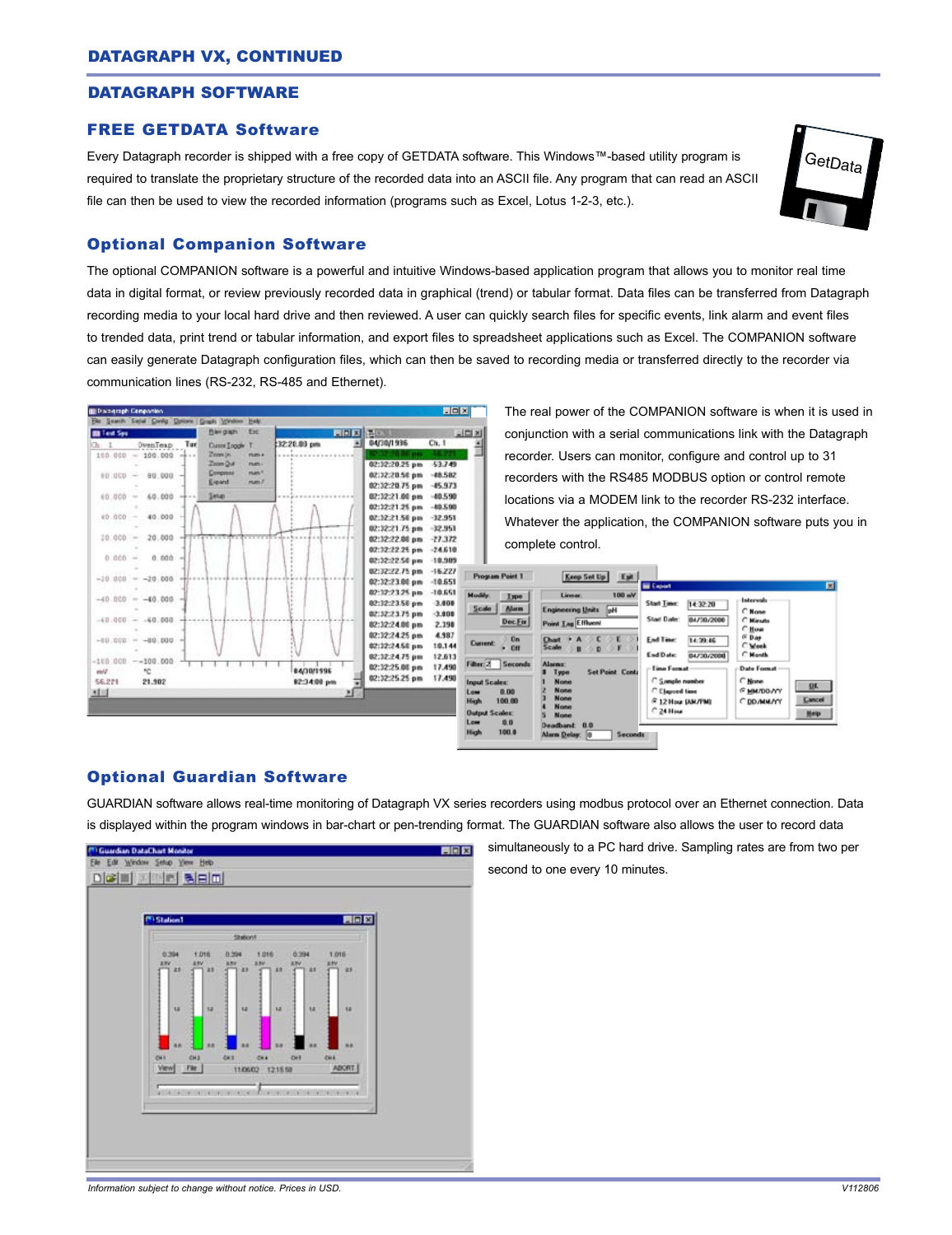#### DATAGRAPH SOFTWARE

#### FREE GETDATA Software

Every Datagraph recorder is shipped with a free copy of GETDATA software. This Windows™-based utility program is required to translate the proprietary structure of the recorded data into an ASCII file. Any program that can read an ASCII file can then be used to view the recorded information (programs such as Excel, Lotus 1-2-3, etc.).



#### Optional Companion Software

The optional COMPANION software is a powerful and intuitive Windows-based application program that allows you to monitor real time data in digital format, or review previously recorded data in graphical (trend) or tabular format. Data files can be transferred from Datagraph recording media to your local hard drive and then reviewed. A user can quickly search files for specific events, link alarm and event files to trended data, print trend or tabular information, and export files to spreadsheet applications such as Excel. The COMPANION software can easily generate Datagraph configuration files, which can then be saved to recording media or transferred directly to the recorder via communication lines (RS-232, RS-485 and Ethernet).



The real power of the COMPANION software is when it is used in conjunction with a serial communications link with the Datagraph recorder. Users can monitor, configure and control up to 31 recorders with the RS485 MODBUS option or control remote locations via a MODEM link to the recorder RS-232 interface. Whatever the application, the COMPANION software puts you in complete control.



#### Optional Guardian Software

GUARDIAN software allows real-time monitoring of Datagraph VX series recorders using modbus protocol over an Ethernet connection. Data is displayed within the program windows in bar-chart or pen-trending format. The GUARDIAN software also allows the user to record data



simultaneously to a PC hard drive. Sampling rates are from two per second to one every 10 minutes.

*Information subject to change without notice. Prices in USD. V112806*